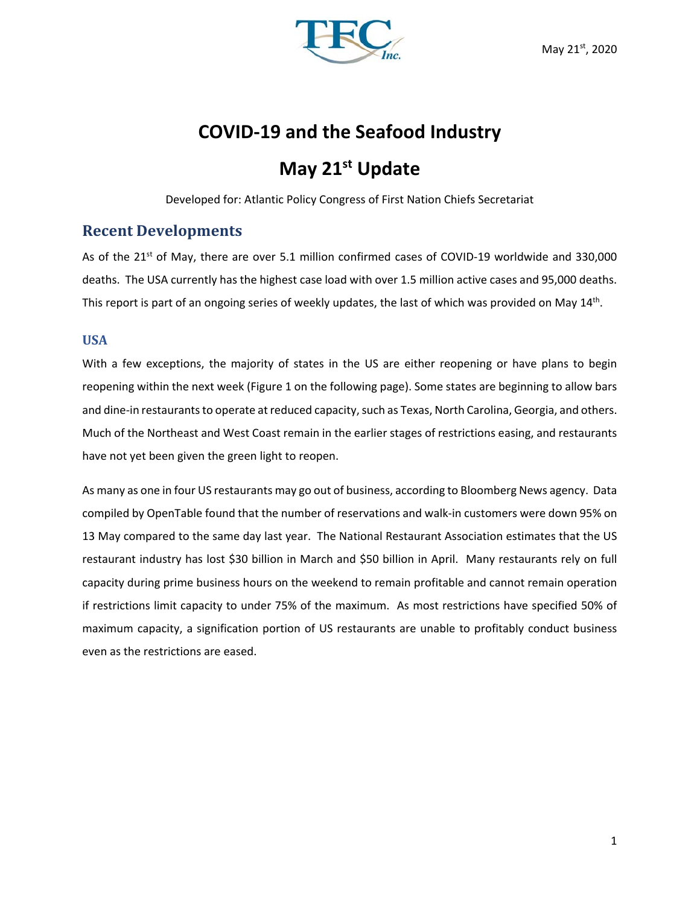

# **COVID‐19 and the Seafood Industry May 21st Update**

Developed for: Atlantic Policy Congress of First Nation Chiefs Secretariat

## **Recent Developments**

As of the 21<sup>st</sup> of May, there are over 5.1 million confirmed cases of COVID-19 worldwide and 330,000 deaths. The USA currently has the highest case load with over 1.5 million active cases and 95,000 deaths. This report is part of an ongoing series of weekly updates, the last of which was provided on May 14<sup>th</sup>.

### **USA**

With a few exceptions, the majority of states in the US are either reopening or have plans to begin reopening within the next week (Figure 1 on the following page). Some states are beginning to allow bars and dine‐in restaurants to operate at reduced capacity, such as Texas, North Carolina, Georgia, and others. Much of the Northeast and West Coast remain in the earlier stages of restrictions easing, and restaurants have not yet been given the green light to reopen.

As many as one in four US restaurants may go out of business, according to Bloomberg News agency. Data compiled by OpenTable found that the number of reservations and walk‐in customers were down 95% on 13 May compared to the same day last year. The National Restaurant Association estimates that the US restaurant industry has lost \$30 billion in March and \$50 billion in April. Many restaurants rely on full capacity during prime business hours on the weekend to remain profitable and cannot remain operation if restrictions limit capacity to under 75% of the maximum. As most restrictions have specified 50% of maximum capacity, a signification portion of US restaurants are unable to profitably conduct business even as the restrictions are eased.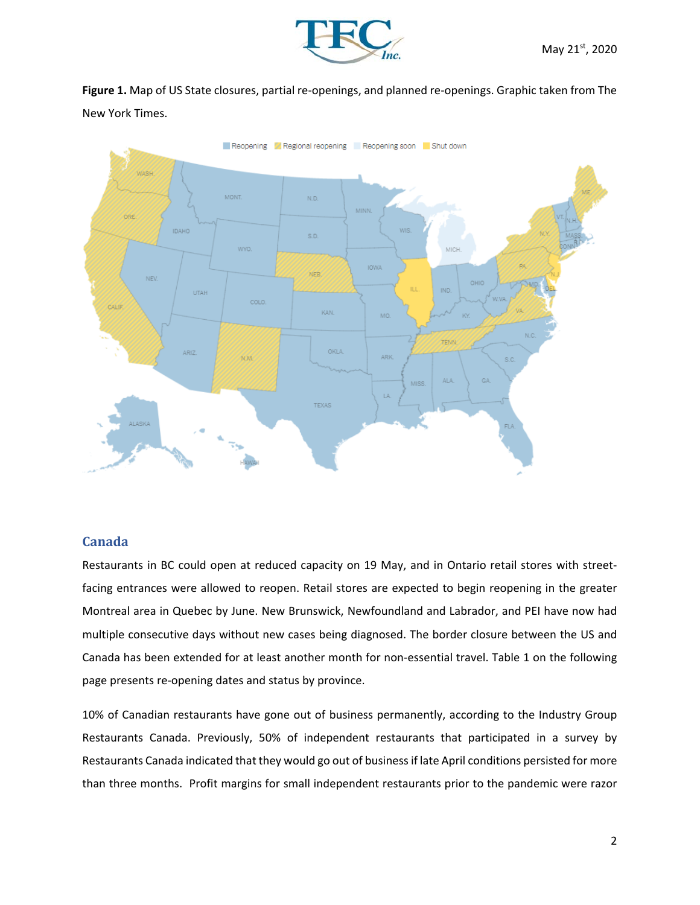

Figure 1. Map of US State closures, partial re-openings, and planned re-openings. Graphic taken from The New York Times.



#### **Canada**

Restaurants in BC could open at reduced capacity on 19 May, and in Ontario retail stores with street‐ facing entrances were allowed to reopen. Retail stores are expected to begin reopening in the greater Montreal area in Quebec by June. New Brunswick, Newfoundland and Labrador, and PEI have now had multiple consecutive days without new cases being diagnosed. The border closure between the US and Canada has been extended for at least another month for non‐essential travel. Table 1 on the following page presents re-opening dates and status by province.

10% of Canadian restaurants have gone out of business permanently, according to the Industry Group Restaurants Canada. Previously, 50% of independent restaurants that participated in a survey by Restaurants Canada indicated that they would go out of business if late April conditions persisted for more than three months. Profit margins for small independent restaurants prior to the pandemic were razor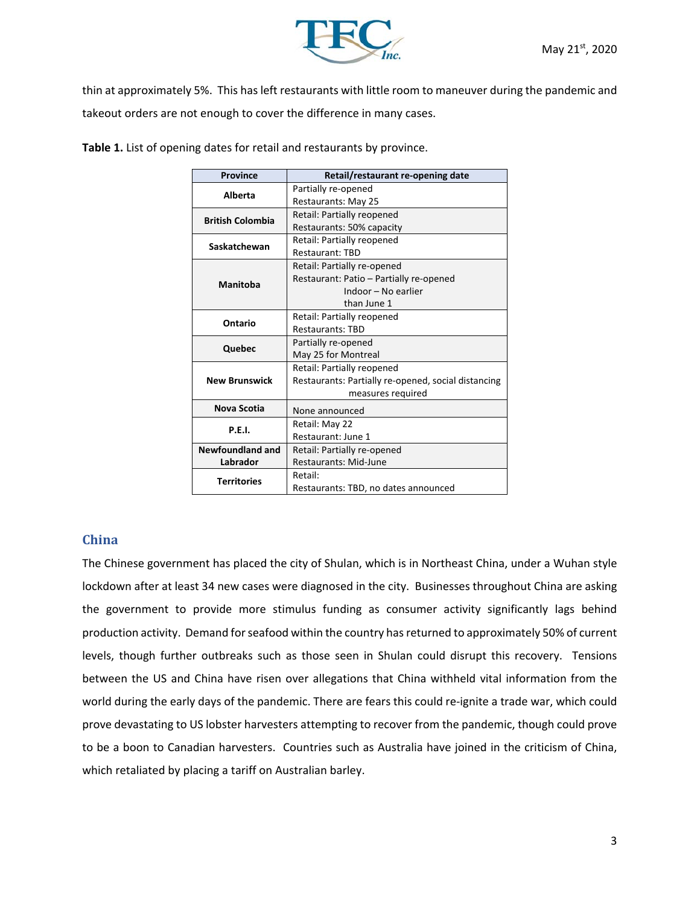

thin at approximately 5%. This has left restaurants with little room to maneuver during the pandemic and takeout orders are not enough to cover the difference in many cases.

| <b>Province</b>         | Retail/restaurant re-opening date                   |
|-------------------------|-----------------------------------------------------|
| Alberta                 | Partially re-opened                                 |
|                         | Restaurants: May 25                                 |
| <b>British Colombia</b> | Retail: Partially reopened                          |
|                         | Restaurants: 50% capacity                           |
| Saskatchewan            | Retail: Partially reopened                          |
|                         | <b>Restaurant: TBD</b>                              |
| <b>Manitoba</b>         | Retail: Partially re-opened                         |
|                         | Restaurant: Patio - Partially re-opened             |
|                         | Indoor - No earlier                                 |
|                         | than June 1                                         |
| Ontario                 | Retail: Partially reopened                          |
|                         | <b>Restaurants: TBD</b>                             |
| Quebec                  | Partially re-opened                                 |
|                         | May 25 for Montreal                                 |
| <b>New Brunswick</b>    | Retail: Partially reopened                          |
|                         | Restaurants: Partially re-opened, social distancing |
|                         | measures required                                   |
| Nova Scotia             | None announced                                      |
| <b>P.E.I.</b>           | Retail: May 22                                      |
|                         | Restaurant: June 1                                  |
| Newfoundland and        | Retail: Partially re-opened                         |
| Labrador                | Restaurants: Mid-June                               |
| <b>Territories</b>      | Retail:                                             |
|                         | Restaurants: TBD, no dates announced                |

**Table 1.** List of opening dates for retail and restaurants by province.

#### **China**

The Chinese government has placed the city of Shulan, which is in Northeast China, under a Wuhan style lockdown after at least 34 new cases were diagnosed in the city. Businesses throughout China are asking the government to provide more stimulus funding as consumer activity significantly lags behind production activity. Demand for seafood within the country has returned to approximately 50% of current levels, though further outbreaks such as those seen in Shulan could disrupt this recovery. Tensions between the US and China have risen over allegations that China withheld vital information from the world during the early days of the pandemic. There are fears this could re-ignite a trade war, which could prove devastating to US lobster harvesters attempting to recover from the pandemic, though could prove to be a boon to Canadian harvesters. Countries such as Australia have joined in the criticism of China, which retaliated by placing a tariff on Australian barley.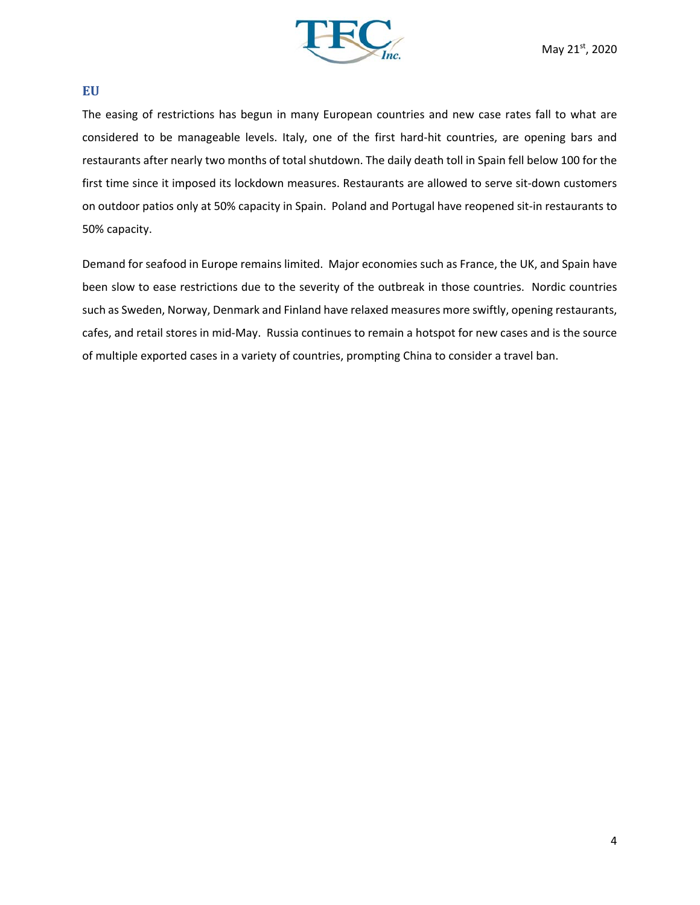

#### **EU**

The easing of restrictions has begun in many European countries and new case rates fall to what are considered to be manageable levels. Italy, one of the first hard-hit countries, are opening bars and restaurants after nearly two months of total shutdown. The daily death toll in Spain fell below 100 for the first time since it imposed its lockdown measures. Restaurants are allowed to serve sit-down customers on outdoor patios only at 50% capacity in Spain. Poland and Portugal have reopened sit‐in restaurants to 50% capacity.

Demand for seafood in Europe remains limited. Major economies such as France, the UK, and Spain have been slow to ease restrictions due to the severity of the outbreak in those countries. Nordic countries such as Sweden, Norway, Denmark and Finland have relaxed measures more swiftly, opening restaurants, cafes, and retail stores in mid‐May. Russia continues to remain a hotspot for new cases and is the source of multiple exported cases in a variety of countries, prompting China to consider a travel ban.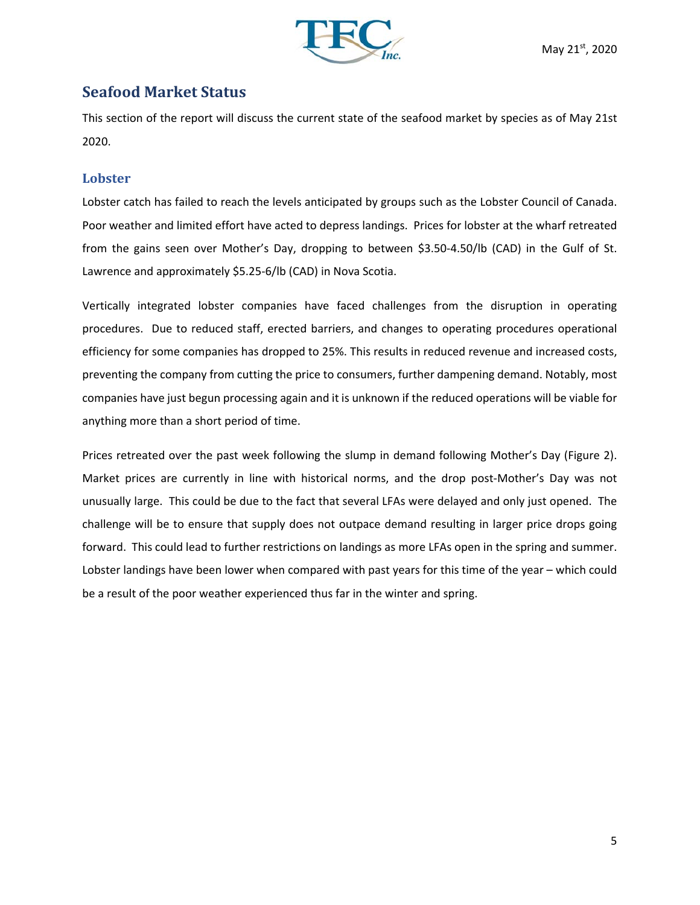

## **Seafood Market Status**

This section of the report will discuss the current state of the seafood market by species as of May 21st 2020.

#### **Lobster**

Lobster catch has failed to reach the levels anticipated by groups such as the Lobster Council of Canada. Poor weather and limited effort have acted to depress landings. Prices for lobster at the wharf retreated from the gains seen over Mother's Day, dropping to between \$3.50-4.50/lb (CAD) in the Gulf of St. Lawrence and approximately \$5.25‐6/lb (CAD) in Nova Scotia.

Vertically integrated lobster companies have faced challenges from the disruption in operating procedures. Due to reduced staff, erected barriers, and changes to operating procedures operational efficiency for some companies has dropped to 25%. This results in reduced revenue and increased costs, preventing the company from cutting the price to consumers, further dampening demand. Notably, most companies have just begun processing again and it is unknown if the reduced operations will be viable for anything more than a short period of time.

Prices retreated over the past week following the slump in demand following Mother's Day (Figure 2). Market prices are currently in line with historical norms, and the drop post-Mother's Day was not unusually large. This could be due to the fact that several LFAs were delayed and only just opened. The challenge will be to ensure that supply does not outpace demand resulting in larger price drops going forward. This could lead to further restrictions on landings as more LFAs open in the spring and summer. Lobster landings have been lower when compared with past years for this time of the year – which could be a result of the poor weather experienced thus far in the winter and spring.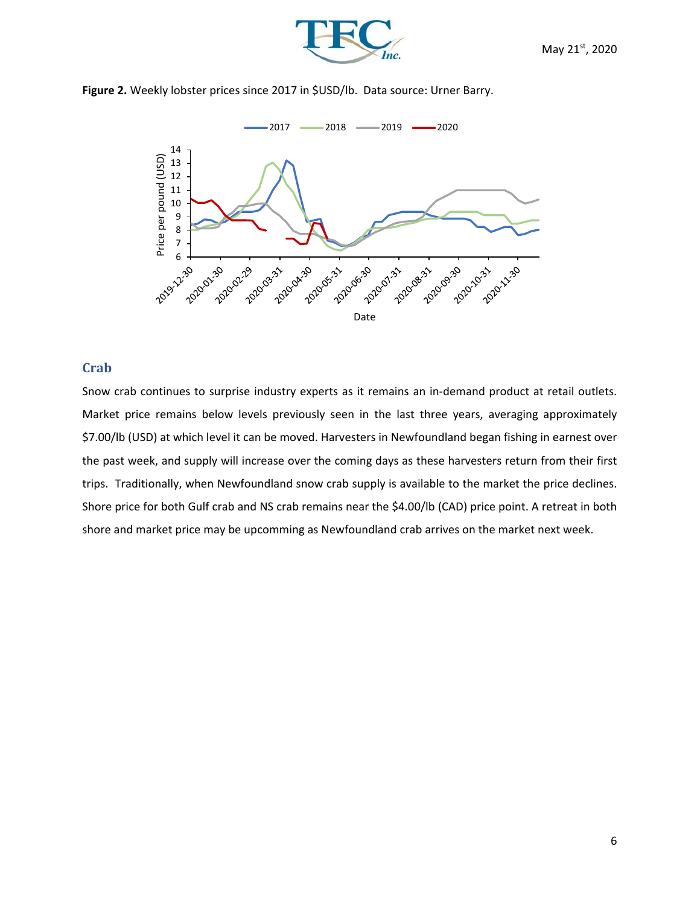





#### **Crab**

Snow crab continues to surprise industry experts as it remains an in‐demand product at retail outlets. Market price remains below levels previously seen in the last three years, averaging approximately \$7.00/lb (USD) at which level it can be moved. Harvesters in Newfoundland began fishing in earnest over the past week, and supply will increase over the coming days as these harvesters return from their first trips. Traditionally, when Newfoundland snow crab supply is available to the market the price declines. Shore price for both Gulf crab and NS crab remains near the \$4.00/lb (CAD) price point. A retreat in both shore and market price may be upcomming as Newfoundland crab arrives on the market next week.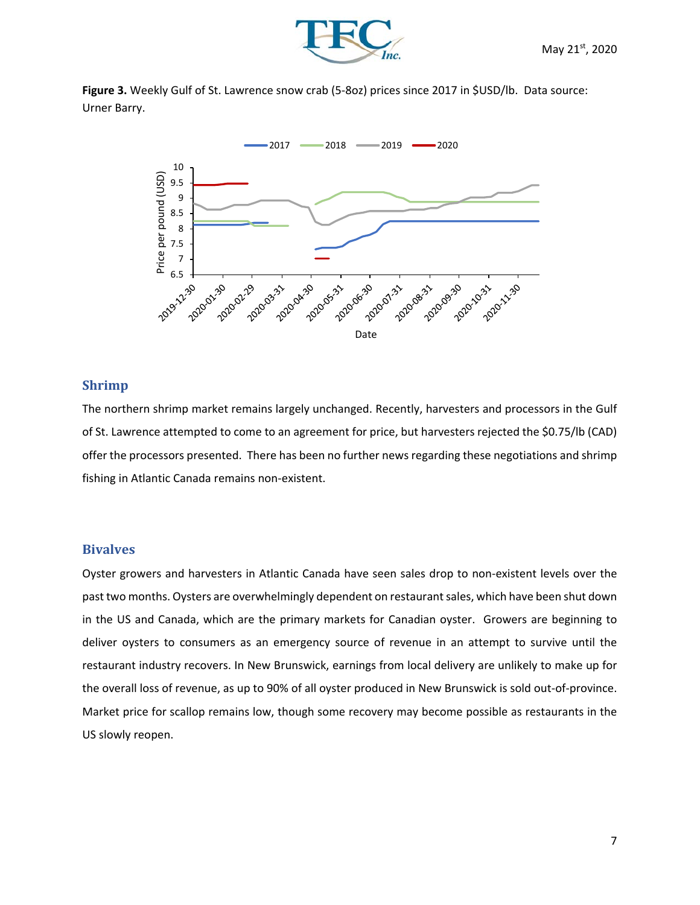

**Figure 3.** Weekly Gulf of St. Lawrence snow crab (5‐8oz) prices since 2017 in \$USD/lb. Data source: Urner Barry.



#### **Shrimp**

The northern shrimp market remains largely unchanged. Recently, harvesters and processors in the Gulf of St. Lawrence attempted to come to an agreement for price, but harvesters rejected the \$0.75/lb (CAD) offer the processors presented. There has been no further news regarding these negotiations and shrimp fishing in Atlantic Canada remains non‐existent.

#### **Bivalves**

Oyster growers and harvesters in Atlantic Canada have seen sales drop to non‐existent levels over the past two months. Oysters are overwhelmingly dependent on restaurant sales, which have been shut down in the US and Canada, which are the primary markets for Canadian oyster. Growers are beginning to deliver oysters to consumers as an emergency source of revenue in an attempt to survive until the restaurant industry recovers. In New Brunswick, earnings from local delivery are unlikely to make up for the overall loss of revenue, as up to 90% of all oyster produced in New Brunswick is sold out‐of‐province. Market price for scallop remains low, though some recovery may become possible as restaurants in the US slowly reopen.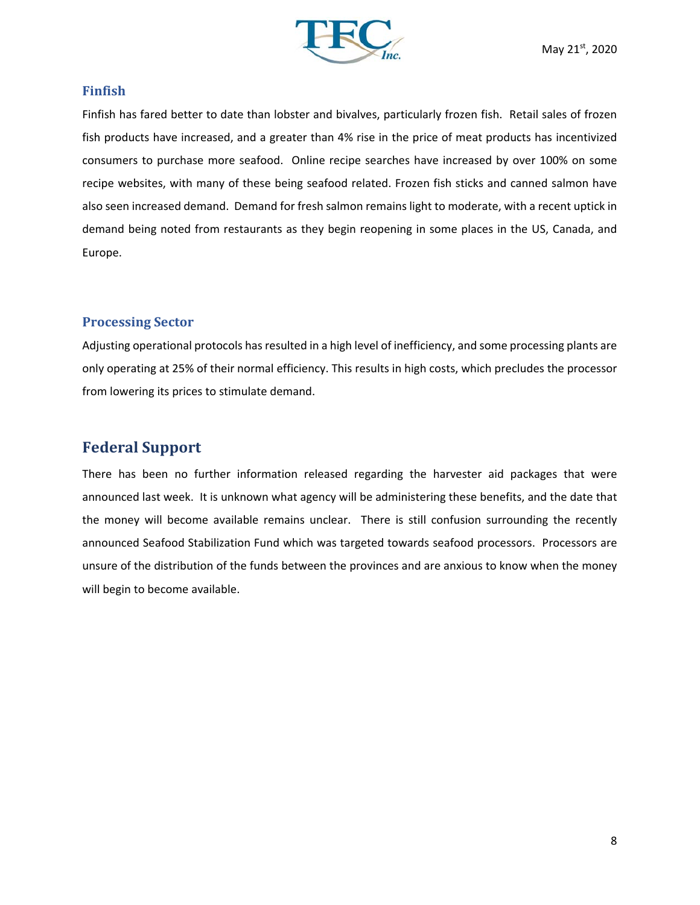

#### **Finfish**

Finfish has fared better to date than lobster and bivalves, particularly frozen fish. Retail sales of frozen fish products have increased, and a greater than 4% rise in the price of meat products has incentivized consumers to purchase more seafood. Online recipe searches have increased by over 100% on some recipe websites, with many of these being seafood related. Frozen fish sticks and canned salmon have also seen increased demand. Demand for fresh salmon remains light to moderate, with a recent uptick in demand being noted from restaurants as they begin reopening in some places in the US, Canada, and Europe.

#### **Processing Sector**

Adjusting operational protocols has resulted in a high level of inefficiency, and some processing plants are only operating at 25% of their normal efficiency. This results in high costs, which precludes the processor from lowering its prices to stimulate demand.

## **Federal Support**

There has been no further information released regarding the harvester aid packages that were announced last week. It is unknown what agency will be administering these benefits, and the date that the money will become available remains unclear. There is still confusion surrounding the recently announced Seafood Stabilization Fund which was targeted towards seafood processors. Processors are unsure of the distribution of the funds between the provinces and are anxious to know when the money will begin to become available.